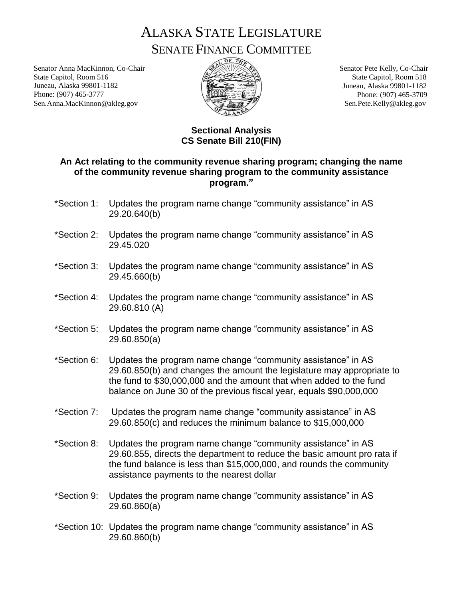ALASKA STATE LEGISLATURE SENATE FINANCE COMMITTEE

Senator Anna MacKinnon, Co-Chair State Capitol, Room 516 Juneau, Alaska 99801-1182 Phone: (907) 465-3777 Sen.Anna.MacKinnon@akleg.gov



Senator Pete Kelly, Co-Chair State Capitol, Room 518 Juneau, Alaska 99801-1182 Phone: (907) 465-3709 Sen.Pete.Kelly@akleg.gov

## **Sectional Analysis CS Senate Bill 210(FIN)**

## **An Act relating to the community revenue sharing program; changing the name of the community revenue sharing program to the community assistance program."**

- \*Section 1: Updates the program name change "community assistance" in AS 29.20.640(b)
- \*Section 2: Updates the program name change "community assistance" in AS 29.45.020
- \*Section 3: Updates the program name change "community assistance" in AS 29.45.660(b)
- \*Section 4: Updates the program name change "community assistance" in AS 29.60.810 (A)
- \*Section 5: Updates the program name change "community assistance" in AS 29.60.850(a)
- \*Section 6: Updates the program name change "community assistance" in AS 29.60.850(b) and changes the amount the legislature may appropriate to the fund to \$30,000,000 and the amount that when added to the fund balance on June 30 of the previous fiscal year, equals \$90,000,000
- \*Section 7: Updates the program name change "community assistance" in AS 29.60.850(c) and reduces the minimum balance to \$15,000,000
- \*Section 8: Updates the program name change "community assistance" in AS 29.60.855, directs the department to reduce the basic amount pro rata if the fund balance is less than \$15,000,000, and rounds the community assistance payments to the nearest dollar
- \*Section 9: Updates the program name change "community assistance" in AS 29.60.860(a)
- \*Section 10: Updates the program name change "community assistance" in AS 29.60.860(b)